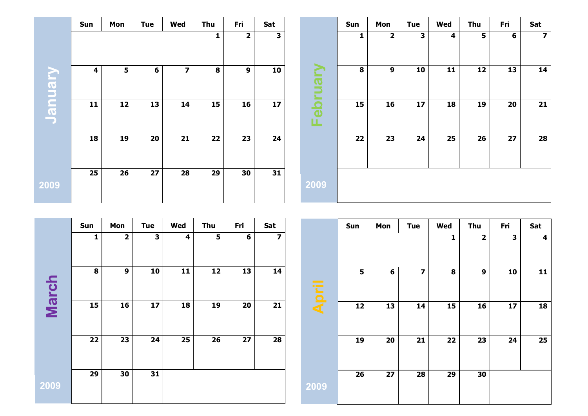|               | Sun | Mon | <b>Tue</b> | Wed                     | <b>Thu</b> | Fri                     | Sat |                                                                                                      | Sun | Mon                     | <b>Tue</b> | Wed | Thu | Fri | Sat                     |
|---------------|-----|-----|------------|-------------------------|------------|-------------------------|-----|------------------------------------------------------------------------------------------------------|-----|-------------------------|------------|-----|-----|-----|-------------------------|
|               |     |     |            |                         | 1          | $\overline{\mathbf{2}}$ | 3   |                                                                                                      | 1   | $\overline{\mathbf{2}}$ | 3          | 4   | 5   | 6   | $\overline{\mathbf{z}}$ |
| <b>Usunar</b> | 4   | 5   | 6          | $\overline{\mathbf{z}}$ | 8          | 9                       | 10  | $\blacktriangleright$<br><b>The Second Service</b><br>$\boldsymbol{\sigma}$<br>$\equiv$<br>┙<br>a an | 8   | $\boldsymbol{9}$        | 10         | 11  | 12  | 13  | 14                      |
|               | 11  | 12  | 13         | 14                      | 15         | 16                      | 17  | $\overline{\mathbf{C}}$<br>$\bf \Phi$<br>ய                                                           | 15  | 16                      | 17         | 18  | 19  | 20  | $21$                    |
|               | 18  | 19  | 20         | 21                      | 22         | 23                      | 24  |                                                                                                      | 22  | 23                      | 24         | 25  | 26  | 27  | 28                      |
| 2009          | 25  | 26  | 27         | 28                      | 29         | 30                      | 31  | 2009                                                                                                 |     |                         |            |     |     |     |                         |

|              | Sun          | Mon                     | <b>Tue</b> | <b>Wed</b> | <b>Thu</b> | Fri | Sat |
|--------------|--------------|-------------------------|------------|------------|------------|-----|-----|
|              | $\mathbf{1}$ | $\overline{\mathbf{2}}$ | 3          | 4          | 5          | 6   | 7   |
| <b>March</b> | 8            | 9                       | 10         | 11         | 12         | 13  | 14  |
|              | 15           | 16                      | 17         | 18         | 19         | 20  | 21  |
|              | 22           | 23                      | 24         | 25         | 26         | 27  | 28  |
| 2009         | 29           | 30                      | 31         |            |            |     |     |

|       | Sun             | Mon             | <b>Tue</b>              | Wed             | <b>Thu</b>              | Fri | Sat |
|-------|-----------------|-----------------|-------------------------|-----------------|-------------------------|-----|-----|
|       |                 |                 |                         | 1               | $\overline{\mathbf{2}}$ | 3   | 4   |
| April | 5               | 6               | $\overline{\mathbf{z}}$ | 8               | 9                       | 10  | 11  |
|       | 12              | 13              | 14                      | 15              | 16                      | 17  | 18  |
|       | 19              | 20              | 21                      | 22              | 23                      | 24  | 25  |
| 2009  | $\overline{26}$ | $\overline{27}$ | $\overline{28}$         | $\overline{29}$ | 30                      |     |     |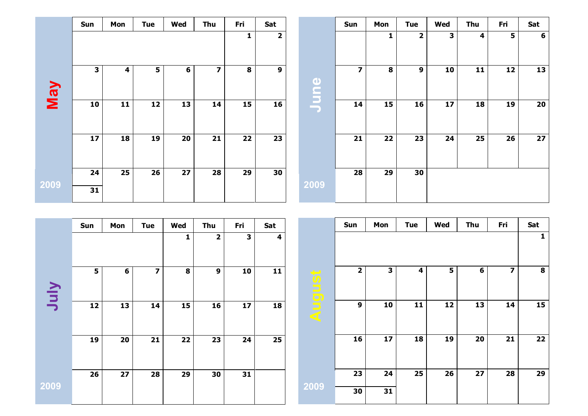|      | Sun | Mon | <b>Tue</b> | Wed | <b>Thu</b> | Fri | Sat                     |             | Sun                     | Mon | <b>Tue</b>     | Wed | <b>Thu</b> | Fri | Sat             |
|------|-----|-----|------------|-----|------------|-----|-------------------------|-------------|-------------------------|-----|----------------|-----|------------|-----|-----------------|
|      |     |     |            |     |            | 1   | $\overline{\mathbf{2}}$ |             |                         | 1   | $\overline{2}$ | 3   | 4          | 5   | $6\phantom{1}6$ |
| VeM  | 3   | 4   | 5          | 6   | 7          | 8   | 9                       | $\bullet$   | $\overline{\mathbf{z}}$ | 8   | 9              | 10  | 11         | 12  | 13              |
|      | 10  | 11  | 12         | 13  | 14         | 15  | 16                      | <b>NING</b> | 14                      | 15  | 16             | 17  | 18         | 19  | 20              |
|      | 17  | 18  | 19         | 20  | 21         | 22  | 23                      |             | 21                      | 22  | 23             | 24  | 25         | 26  | 27              |
|      | 24  | 25  | 26         | 27  | 28         | 29  | 30                      |             | 28                      | 29  | 30             |     |            |     |                 |
| 2009 | 31  |     |            |     |            |     |                         | 2009        |                         |     |                |     |            |     |                 |

|      | Sun | Mon | <b>Tue</b>              | Wed | Thu         | Fri | Sat |        | Sun          | Mon | <b>Tue</b> | Wed | Thu | Fri | Sat |
|------|-----|-----|-------------------------|-----|-------------|-----|-----|--------|--------------|-----|------------|-----|-----|-----|-----|
|      |     |     |                         |     | $\mathbf 2$ | 3   | 4   |        |              |     |            |     |     |     |     |
| VInc | 5   | 6   | $\overline{\mathbf{z}}$ | 8   | 9           | 10  | 11  | August | $\mathbf{2}$ | 3   | 4          | 5   | 6   | 7   | 8   |
|      | 12  | 13  | 14                      | 15  | 16          | 17  | 18  |        | 9            | 10  | 11         | 12  | 13  | 14  | 15  |
|      | 19  | 20  | 21                      | 22  | 23          | 24  | 25  |        | 16           | 17  | 18         | 19  | 20  | 21  | 22  |
|      | 26  | 27  | 28                      | 29  | 30          | 31  |     |        | 23           | 24  | 25         | 26  | 27  | 28  | 29  |
| 2009 |     |     |                         |     |             |     |     | 2009   | 30           | 31  |            |     |     |     |     |